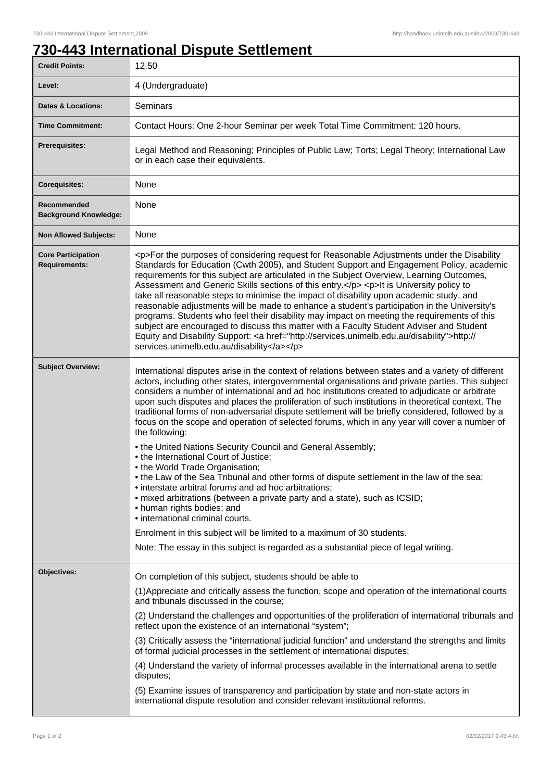## **730-443 International Dispute Settlement**

| <b>Credit Points:</b>                             | 12.50                                                                                                                                                                                                                                                                                                                                                                                                                                                                                                                                                                                                                                                                                                                                                                                                                                                                                                                                                                                                                                                                                                                                                                                                                                                     |
|---------------------------------------------------|-----------------------------------------------------------------------------------------------------------------------------------------------------------------------------------------------------------------------------------------------------------------------------------------------------------------------------------------------------------------------------------------------------------------------------------------------------------------------------------------------------------------------------------------------------------------------------------------------------------------------------------------------------------------------------------------------------------------------------------------------------------------------------------------------------------------------------------------------------------------------------------------------------------------------------------------------------------------------------------------------------------------------------------------------------------------------------------------------------------------------------------------------------------------------------------------------------------------------------------------------------------|
| Level:                                            | 4 (Undergraduate)                                                                                                                                                                                                                                                                                                                                                                                                                                                                                                                                                                                                                                                                                                                                                                                                                                                                                                                                                                                                                                                                                                                                                                                                                                         |
| <b>Dates &amp; Locations:</b>                     | Seminars                                                                                                                                                                                                                                                                                                                                                                                                                                                                                                                                                                                                                                                                                                                                                                                                                                                                                                                                                                                                                                                                                                                                                                                                                                                  |
| <b>Time Commitment:</b>                           | Contact Hours: One 2-hour Seminar per week Total Time Commitment: 120 hours.                                                                                                                                                                                                                                                                                                                                                                                                                                                                                                                                                                                                                                                                                                                                                                                                                                                                                                                                                                                                                                                                                                                                                                              |
| <b>Prerequisites:</b>                             | Legal Method and Reasoning; Principles of Public Law; Torts; Legal Theory; International Law<br>or in each case their equivalents.                                                                                                                                                                                                                                                                                                                                                                                                                                                                                                                                                                                                                                                                                                                                                                                                                                                                                                                                                                                                                                                                                                                        |
| <b>Corequisites:</b>                              | None                                                                                                                                                                                                                                                                                                                                                                                                                                                                                                                                                                                                                                                                                                                                                                                                                                                                                                                                                                                                                                                                                                                                                                                                                                                      |
| Recommended<br><b>Background Knowledge:</b>       | None                                                                                                                                                                                                                                                                                                                                                                                                                                                                                                                                                                                                                                                                                                                                                                                                                                                                                                                                                                                                                                                                                                                                                                                                                                                      |
| <b>Non Allowed Subjects:</b>                      | None                                                                                                                                                                                                                                                                                                                                                                                                                                                                                                                                                                                                                                                                                                                                                                                                                                                                                                                                                                                                                                                                                                                                                                                                                                                      |
| <b>Core Participation</b><br><b>Requirements:</b> | <p>For the purposes of considering request for Reasonable Adjustments under the Disability<br/>Standards for Education (Cwth 2005), and Student Support and Engagement Policy, academic<br/>requirements for this subject are articulated in the Subject Overview, Learning Outcomes,<br/>Assessment and Generic Skills sections of this entry.</p> <p>It is University policy to<br/>take all reasonable steps to minimise the impact of disability upon academic study, and<br/>reasonable adjustments will be made to enhance a student's participation in the University's<br/>programs. Students who feel their disability may impact on meeting the requirements of this<br/>subject are encouraged to discuss this matter with a Faculty Student Adviser and Student<br/>Equity and Disability Support: <a href="http://services.unimelb.edu.au/disability">http://<br/>services.unimelb.edu.au/disability</a></p>                                                                                                                                                                                                                                                                                                                                 |
| <b>Subject Overview:</b>                          | International disputes arise in the context of relations between states and a variety of different<br>actors, including other states, intergovernmental organisations and private parties. This subject<br>considers a number of international and ad hoc institutions created to adjudicate or arbitrate<br>upon such disputes and places the proliferation of such institutions in theoretical context. The<br>traditional forms of non-adversarial dispute settlement will be briefly considered, followed by a<br>focus on the scope and operation of selected forums, which in any year will cover a number of<br>the following:<br>. the United Nations Security Council and General Assembly;<br>• the International Court of Justice;<br>• the World Trade Organisation;<br>• the Law of the Sea Tribunal and other forms of dispute settlement in the law of the sea;<br>• interstate arbitral forums and ad hoc arbitrations;<br>• mixed arbitrations (between a private party and a state), such as ICSID;<br>• human rights bodies; and<br>• international criminal courts.<br>Enrolment in this subject will be limited to a maximum of 30 students.<br>Note: The essay in this subject is regarded as a substantial piece of legal writing. |
| Objectives:                                       | On completion of this subject, students should be able to                                                                                                                                                                                                                                                                                                                                                                                                                                                                                                                                                                                                                                                                                                                                                                                                                                                                                                                                                                                                                                                                                                                                                                                                 |
|                                                   | (1) Appreciate and critically assess the function, scope and operation of the international courts<br>and tribunals discussed in the course;<br>(2) Understand the challenges and opportunities of the proliferation of international tribunals and<br>reflect upon the existence of an international "system";<br>(3) Critically assess the "international judicial function" and understand the strengths and limits<br>of formal judicial processes in the settlement of international disputes;<br>(4) Understand the variety of informal processes available in the international arena to settle<br>disputes;<br>(5) Examine issues of transparency and participation by state and non-state actors in<br>international dispute resolution and consider relevant institutional reforms.                                                                                                                                                                                                                                                                                                                                                                                                                                                             |